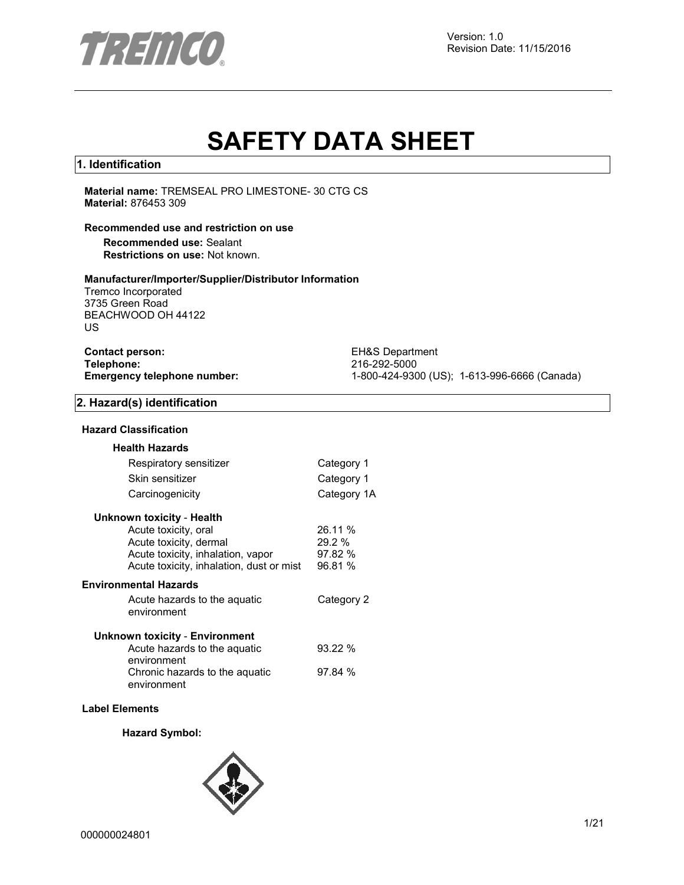

# **SAFETY DATA SHEET**

#### **1. Identification**

**Material name:** TREMSEAL PRO LIMESTONE- 30 CTG CS **Material:** 876453 309

#### **Recommended use and restriction on use**

**Recommended use:** Sealant **Restrictions on use:** Not known.

#### **Manufacturer/Importer/Supplier/Distributor Information**

Tremco Incorporated 3735 Green Road BEACHWOOD OH 44122 US

| <b>Contact person:</b>             |  |
|------------------------------------|--|
| Telephone:                         |  |
| <b>Emergency telephone number:</b> |  |

**EH&S Department Telephone:** 216-292-5000 **Emergency telephone number:** 1-800-424-9300 (US); 1-613-996-6666 (Canada)

#### **2. Hazard(s) identification**

#### **Hazard Classification**

| <b>Health Hazards</b>                    |             |
|------------------------------------------|-------------|
| Respiratory sensitizer                   | Category 1  |
| Skin sensitizer                          | Category 1  |
| Carcinogenicity                          | Category 1A |
| <b>Unknown toxicity - Health</b>         |             |
| Acute toxicity, oral                     | 26.11 %     |
| Acute toxicity, dermal                   | 29.2%       |
| Acute toxicity, inhalation, vapor        | 97.82%      |
| Acute toxicity, inhalation, dust or mist | 96.81 %     |
| <b>Environmental Hazards</b>             |             |
| Acute hazards to the aquatic             | Category 2  |
| environment                              |             |
| <b>Unknown toxicity - Environment</b>    |             |
| Acute hazards to the aquatic             | 93.22%      |
| environment                              |             |
| Chronic hazards to the aquatic           | 97.84%      |
| environment                              |             |
|                                          |             |

#### **Label Elements**

#### **Hazard Symbol:**

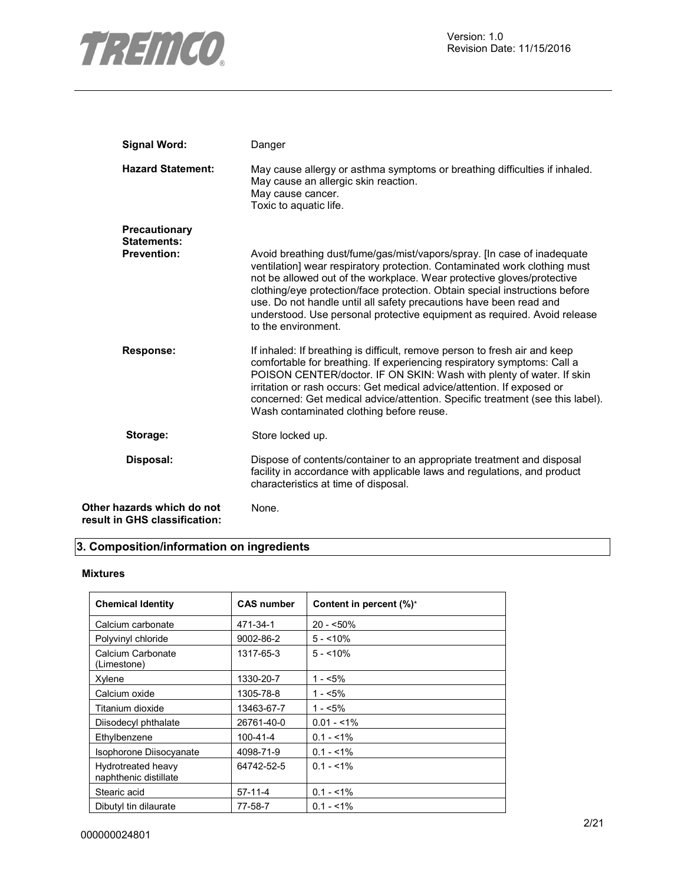

| <b>Signal Word:</b>                                         | Danger                                                                                                                                                                                                                                                                                                                                                                                                                                                                                 |
|-------------------------------------------------------------|----------------------------------------------------------------------------------------------------------------------------------------------------------------------------------------------------------------------------------------------------------------------------------------------------------------------------------------------------------------------------------------------------------------------------------------------------------------------------------------|
| <b>Hazard Statement:</b>                                    | May cause allergy or asthma symptoms or breathing difficulties if inhaled.<br>May cause an allergic skin reaction.<br>May cause cancer.<br>Toxic to aquatic life.                                                                                                                                                                                                                                                                                                                      |
| Precautionary<br><b>Statements:</b>                         |                                                                                                                                                                                                                                                                                                                                                                                                                                                                                        |
| <b>Prevention:</b>                                          | Avoid breathing dust/fume/gas/mist/vapors/spray. [In case of inadequate<br>ventilation] wear respiratory protection. Contaminated work clothing must<br>not be allowed out of the workplace. Wear protective gloves/protective<br>clothing/eye protection/face protection. Obtain special instructions before<br>use. Do not handle until all safety precautions have been read and<br>understood. Use personal protective equipment as required. Avoid release<br>to the environment. |
| <b>Response:</b>                                            | If inhaled: If breathing is difficult, remove person to fresh air and keep<br>comfortable for breathing. If experiencing respiratory symptoms: Call a<br>POISON CENTER/doctor. IF ON SKIN: Wash with plenty of water. If skin<br>irritation or rash occurs: Get medical advice/attention. If exposed or<br>concerned: Get medical advice/attention. Specific treatment (see this label).<br>Wash contaminated clothing before reuse.                                                   |
| Storage:                                                    | Store locked up.                                                                                                                                                                                                                                                                                                                                                                                                                                                                       |
| Disposal:                                                   | Dispose of contents/container to an appropriate treatment and disposal<br>facility in accordance with applicable laws and regulations, and product<br>characteristics at time of disposal.                                                                                                                                                                                                                                                                                             |
| Other hazards which do not<br>result in GHS classification: | None.                                                                                                                                                                                                                                                                                                                                                                                                                                                                                  |

# **3. Composition/information on ingredients**

#### **Mixtures**

| <b>Chemical Identity</b>                    | <b>CAS number</b> | Content in percent (%)* |
|---------------------------------------------|-------------------|-------------------------|
| Calcium carbonate                           | 471-34-1          | $20 - 50\%$             |
| Polyvinyl chloride                          | 9002-86-2         | $5 - 10\%$              |
| Calcium Carbonate<br>(Limestone)            | 1317-65-3         | $5 - 10\%$              |
| Xylene                                      | 1330-20-7         | 1 - <5%                 |
| Calcium oxide                               | 1305-78-8         | 1 - <5%                 |
| Titanium dioxide                            | 13463-67-7        | $1 - 5\%$               |
| Diisodecyl phthalate                        | 26761-40-0        | $0.01 - 1\%$            |
| Ethylbenzene                                | 100-41-4          | $0.1 - 1\%$             |
| <b>Isophorone Diisocyanate</b>              | 4098-71-9         | $0.1 - 1\%$             |
| Hydrotreated heavy<br>naphthenic distillate | 64742-52-5        | $0.1 - 51\%$            |
| Stearic acid                                | $57 - 11 - 4$     | $0.1 - 1\%$             |
| Dibutyl tin dilaurate                       | 77-58-7           | $0.1 - 1\%$             |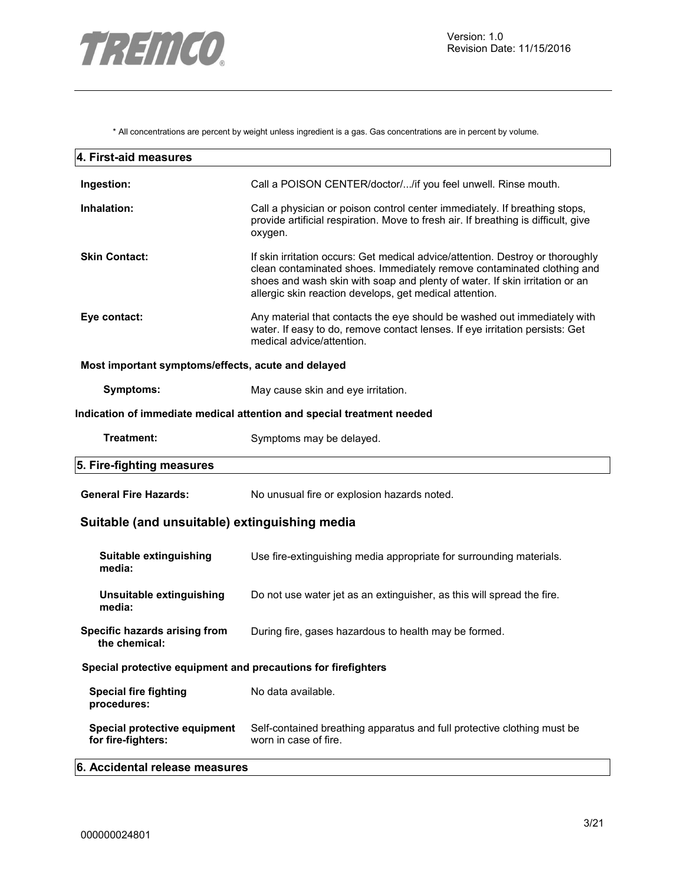

\* All concentrations are percent by weight unless ingredient is a gas. Gas concentrations are in percent by volume.

| 4. First-aid measures                                         |                                                                                                                                                                                                                                                                                                    |
|---------------------------------------------------------------|----------------------------------------------------------------------------------------------------------------------------------------------------------------------------------------------------------------------------------------------------------------------------------------------------|
| Ingestion:                                                    | Call a POISON CENTER/doctor//if you feel unwell. Rinse mouth.                                                                                                                                                                                                                                      |
| Inhalation:                                                   | Call a physician or poison control center immediately. If breathing stops,<br>provide artificial respiration. Move to fresh air. If breathing is difficult, give<br>oxygen.                                                                                                                        |
| <b>Skin Contact:</b>                                          | If skin irritation occurs: Get medical advice/attention. Destroy or thoroughly<br>clean contaminated shoes. Immediately remove contaminated clothing and<br>shoes and wash skin with soap and plenty of water. If skin irritation or an<br>allergic skin reaction develops, get medical attention. |
| Eye contact:                                                  | Any material that contacts the eye should be washed out immediately with<br>water. If easy to do, remove contact lenses. If eye irritation persists: Get<br>medical advice/attention.                                                                                                              |
| Most important symptoms/effects, acute and delayed            |                                                                                                                                                                                                                                                                                                    |
| Symptoms:                                                     | May cause skin and eye irritation.                                                                                                                                                                                                                                                                 |
|                                                               | Indication of immediate medical attention and special treatment needed                                                                                                                                                                                                                             |
| Treatment:                                                    | Symptoms may be delayed.                                                                                                                                                                                                                                                                           |
| 5. Fire-fighting measures                                     |                                                                                                                                                                                                                                                                                                    |
| <b>General Fire Hazards:</b>                                  | No unusual fire or explosion hazards noted.                                                                                                                                                                                                                                                        |
| Suitable (and unsuitable) extinguishing media                 |                                                                                                                                                                                                                                                                                                    |
| Suitable extinguishing<br>media:                              | Use fire-extinguishing media appropriate for surrounding materials.                                                                                                                                                                                                                                |
| Unsuitable extinguishing<br>media:                            | Do not use water jet as an extinguisher, as this will spread the fire.                                                                                                                                                                                                                             |
| Specific hazards arising from<br>the chemical:                | During fire, gases hazardous to health may be formed.                                                                                                                                                                                                                                              |
| Special protective equipment and precautions for firefighters |                                                                                                                                                                                                                                                                                                    |
| <b>Special fire fighting</b><br>procedures:                   | No data available.                                                                                                                                                                                                                                                                                 |
| Special protective equipment<br>for fire-fighters:            | Self-contained breathing apparatus and full protective clothing must be<br>worn in case of fire.                                                                                                                                                                                                   |
| 6. Accidental release measures                                |                                                                                                                                                                                                                                                                                                    |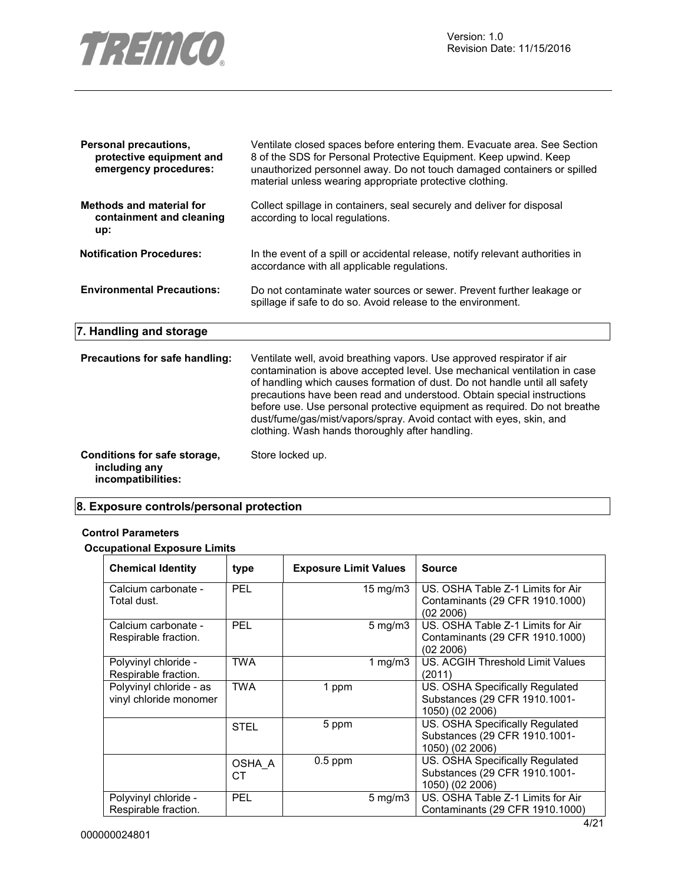

| <b>Personal precautions,</b><br>protective equipment and<br>emergency procedures: | Ventilate closed spaces before entering them. Evacuate area. See Section<br>8 of the SDS for Personal Protective Equipment. Keep upwind. Keep<br>unauthorized personnel away. Do not touch damaged containers or spilled<br>material unless wearing appropriate protective clothing.                                                                                                                                                                                                                               |
|-----------------------------------------------------------------------------------|--------------------------------------------------------------------------------------------------------------------------------------------------------------------------------------------------------------------------------------------------------------------------------------------------------------------------------------------------------------------------------------------------------------------------------------------------------------------------------------------------------------------|
| <b>Methods and material for</b><br>containment and cleaning<br>up:                | Collect spillage in containers, seal securely and deliver for disposal<br>according to local regulations.                                                                                                                                                                                                                                                                                                                                                                                                          |
| <b>Notification Procedures:</b>                                                   | In the event of a spill or accidental release, notify relevant authorities in<br>accordance with all applicable regulations.                                                                                                                                                                                                                                                                                                                                                                                       |
| <b>Environmental Precautions:</b>                                                 | Do not contaminate water sources or sewer. Prevent further leakage or<br>spillage if safe to do so. Avoid release to the environment.                                                                                                                                                                                                                                                                                                                                                                              |
| 7. Handling and storage                                                           |                                                                                                                                                                                                                                                                                                                                                                                                                                                                                                                    |
| Precautions for safe handling:                                                    | Ventilate well, avoid breathing vapors. Use approved respirator if air<br>contamination is above accepted level. Use mechanical ventilation in case<br>of handling which causes formation of dust. Do not handle until all safety<br>precautions have been read and understood. Obtain special instructions<br>before use. Use personal protective equipment as required. Do not breathe<br>dust/fume/gas/mist/vapors/spray. Avoid contact with eyes, skin, and<br>clothing. Wash hands thoroughly after handling. |
| Conditions for safe storage,<br>including any<br>incompatibilities:               | Store locked up.                                                                                                                                                                                                                                                                                                                                                                                                                                                                                                   |

# **8. Exposure controls/personal protection**

#### **Control Parameters**

# **Occupational Exposure Limits**

| <b>Chemical Identity</b>                          | type         | <b>Exposure Limit Values</b> |                    | <b>Source</b>                                                                       |
|---------------------------------------------------|--------------|------------------------------|--------------------|-------------------------------------------------------------------------------------|
| Calcium carbonate -<br>Total dust.                | <b>PEL</b>   |                              | 15 mg/m $3$        | US. OSHA Table Z-1 Limits for Air<br>Contaminants (29 CFR 1910.1000)<br>(02 2006)   |
| Calcium carbonate -<br>Respirable fraction.       | <b>PEL</b>   |                              | $5 \text{ mg/m}$ 3 | US. OSHA Table Z-1 Limits for Air<br>Contaminants (29 CFR 1910.1000)<br>(02 2006)   |
| Polyvinyl chloride -<br>Respirable fraction.      | <b>TWA</b>   |                              | 1 mg/m $3$         | US. ACGIH Threshold Limit Values<br>(2011)                                          |
| Polyvinyl chloride - as<br>vinyl chloride monomer | <b>TWA</b>   | 1 ppm                        |                    | US. OSHA Specifically Regulated<br>Substances (29 CFR 1910.1001-<br>1050) (02 2006) |
|                                                   | <b>STEL</b>  | 5 ppm                        |                    | US. OSHA Specifically Regulated<br>Substances (29 CFR 1910.1001-<br>1050) (02 2006) |
|                                                   | OSHA A<br>CТ | $0.5$ ppm                    |                    | US. OSHA Specifically Regulated<br>Substances (29 CFR 1910.1001-<br>1050) (02 2006) |
| Polyvinyl chloride -<br>Respirable fraction.      | <b>PEL</b>   |                              | $5 \text{ mg/m}$ 3 | US. OSHA Table Z-1 Limits for Air<br>Contaminants (29 CFR 1910.1000)                |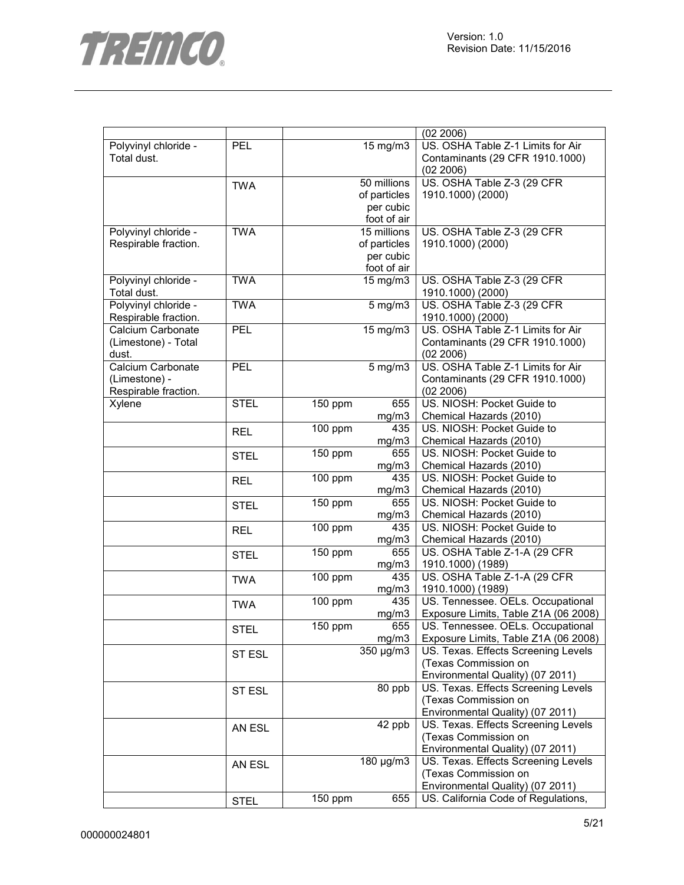

|                      |             |                      |                | (02 2006)                            |
|----------------------|-------------|----------------------|----------------|--------------------------------------|
| Polyvinyl chloride - | PEL         |                      | 15 mg/m3       | US. OSHA Table Z-1 Limits for Air    |
| Total dust.          |             |                      |                | Contaminants (29 CFR 1910.1000)      |
|                      |             |                      |                | (02 2006)                            |
|                      | <b>TWA</b>  |                      | 50 millions    | US. OSHA Table Z-3 (29 CFR           |
|                      |             |                      | of particles   | 1910.1000) (2000)                    |
|                      |             |                      | per cubic      |                                      |
|                      |             |                      | foot of air    |                                      |
| Polyvinyl chloride - | <b>TWA</b>  |                      | 15 millions    | US. OSHA Table Z-3 (29 CFR           |
| Respirable fraction. |             |                      | of particles   | 1910.1000) (2000)                    |
|                      |             |                      | per cubic      |                                      |
|                      |             |                      |                |                                      |
|                      |             |                      | foot of air    |                                      |
| Polyvinyl chloride - | <b>TWA</b>  |                      | 15 mg/m3       | US. OSHA Table Z-3 (29 CFR           |
| Total dust.          |             |                      |                | 1910.1000) (2000)                    |
| Polyvinyl chloride - | <b>TWA</b>  |                      | $5$ mg/m $3$   | US. OSHA Table Z-3 (29 CFR           |
| Respirable fraction. |             |                      |                | 1910.1000) (2000)                    |
| Calcium Carbonate    | PEL         |                      | 15 mg/m3       | US. OSHA Table Z-1 Limits for Air    |
| (Limestone) - Total  |             |                      |                | Contaminants (29 CFR 1910.1000)      |
| dust.                |             |                      |                | (02 2006)                            |
| Calcium Carbonate    | <b>PEL</b>  |                      | $5$ mg/m $3$   | US. OSHA Table Z-1 Limits for Air    |
| (Limestone) -        |             |                      |                | Contaminants (29 CFR 1910.1000)      |
| Respirable fraction. |             |                      |                | (02 2006)                            |
| Xylene               | <b>STEL</b> | 150 ppm              | 655            | US. NIOSH: Pocket Guide to           |
|                      |             |                      | mg/m3          | Chemical Hazards (2010)              |
|                      | <b>REL</b>  | 100 ppm              | 435            | US. NIOSH: Pocket Guide to           |
|                      |             |                      | mg/m3          | Chemical Hazards (2010)              |
|                      |             | 150 ppm              | 655            | US. NIOSH: Pocket Guide to           |
|                      | <b>STEL</b> |                      | mg/m3          | Chemical Hazards (2010)              |
|                      |             | $100$ ppm            | 435            | US. NIOSH: Pocket Guide to           |
|                      | <b>REL</b>  |                      | mg/m3          | Chemical Hazards (2010)              |
|                      |             | 150 ppm              | 655            | US. NIOSH: Pocket Guide to           |
|                      | <b>STEL</b> |                      |                |                                      |
|                      |             |                      | mg/m3          | Chemical Hazards (2010)              |
|                      | <b>REL</b>  | 100 ppm              | 435            | US. NIOSH: Pocket Guide to           |
|                      |             |                      | mg/m3          | Chemical Hazards (2010)              |
|                      | <b>STEL</b> | 150 ppm              | 655            | US. OSHA Table Z-1-A (29 CFR         |
|                      |             |                      | mg/m3          | 1910.1000) (1989)                    |
|                      | <b>TWA</b>  | 100 ppm              | 435            | US. OSHA Table Z-1-A (29 CFR         |
|                      |             |                      | mg/m3          | 1910.1000) (1989)                    |
|                      | <b>TWA</b>  | 100 ppm              | 435            | US. Tennessee. OELs. Occupational    |
|                      |             |                      | mg/m3          | Exposure Limits, Table Z1A (06 2008) |
|                      | <b>STEL</b> | $\overline{1}50$ ppm | 655            | US. Tennessee. OELs. Occupational    |
|                      |             |                      | mg/m3          | Exposure Limits, Table Z1A (06 2008) |
|                      | ST ESL      |                      | $350 \mu g/m3$ | US. Texas. Effects Screening Levels  |
|                      |             |                      |                | (Texas Commission on                 |
|                      |             |                      |                | Environmental Quality) (07 2011)     |
|                      | ST ESL      |                      | 80 ppb         | US. Texas. Effects Screening Levels  |
|                      |             |                      |                | (Texas Commission on                 |
|                      |             |                      |                | Environmental Quality) (07 2011)     |
|                      |             |                      | 42 ppb         | US. Texas. Effects Screening Levels  |
|                      | AN ESL      |                      |                | (Texas Commission on                 |
|                      |             |                      |                | Environmental Quality) (07 2011)     |
|                      |             |                      | 180 µg/m3      | US. Texas. Effects Screening Levels  |
|                      | AN ESL      |                      |                | (Texas Commission on                 |
|                      |             |                      |                |                                      |
|                      |             |                      |                | Environmental Quality) (07 2011)     |
|                      | <b>STEL</b> | 150 ppm              | 655            | US. California Code of Regulations,  |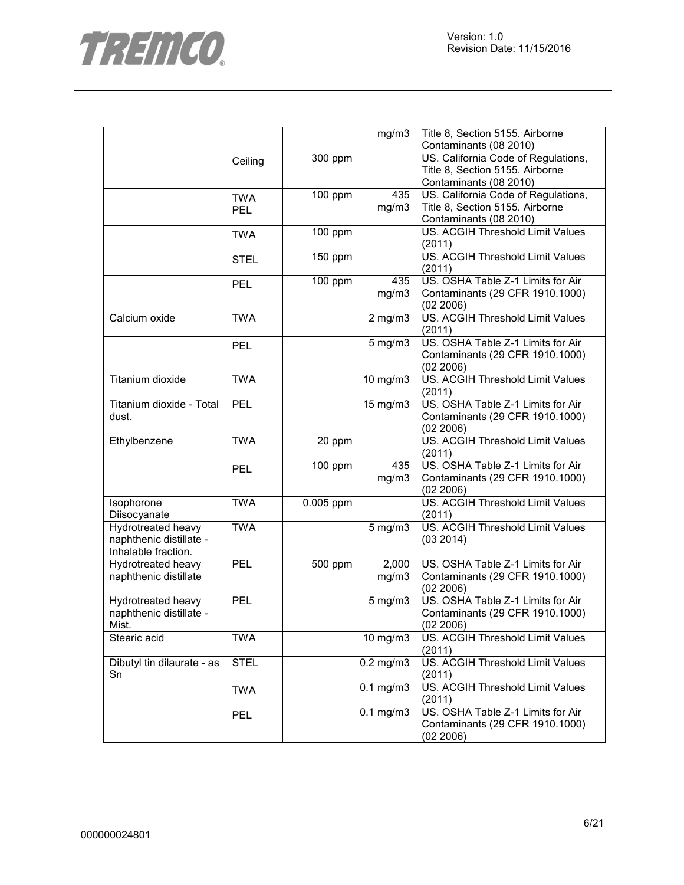

|                            |             |           | mg/m3             | Title 8, Section 5155. Airborne         |
|----------------------------|-------------|-----------|-------------------|-----------------------------------------|
|                            |             |           |                   | Contaminants (08 2010)                  |
|                            | Ceiling     | 300 ppm   |                   | US. California Code of Regulations,     |
|                            |             |           |                   | Title 8, Section 5155. Airborne         |
|                            |             |           |                   | Contaminants (08 2010)                  |
|                            | <b>TWA</b>  | 100 ppm   | 435               | US. California Code of Regulations,     |
|                            | <b>PEL</b>  |           | mg/m3             | Title 8, Section 5155. Airborne         |
|                            |             |           |                   | Contaminants (08 2010)                  |
|                            | <b>TWA</b>  | 100 ppm   |                   | US. ACGIH Threshold Limit Values        |
|                            |             |           |                   | (2011)                                  |
|                            | <b>STEL</b> | 150 ppm   |                   | US. ACGIH Threshold Limit Values        |
|                            |             |           |                   | (2011)                                  |
|                            | <b>PEL</b>  | 100 ppm   | 435               | US. OSHA Table Z-1 Limits for Air       |
|                            |             |           | mg/m3             | Contaminants (29 CFR 1910.1000)         |
|                            |             |           |                   | (02 2006)                               |
| Calcium oxide              | <b>TWA</b>  |           | $2$ mg/m $3$      | US. ACGIH Threshold Limit Values        |
|                            |             |           |                   | (2011)                                  |
|                            | <b>PEL</b>  |           | $5$ mg/m $3$      | US. OSHA Table Z-1 Limits for Air       |
|                            |             |           |                   | Contaminants (29 CFR 1910.1000)         |
|                            |             |           |                   | (02 2006)                               |
| Titanium dioxide           | <b>TWA</b>  |           | 10 mg/m3          | US. ACGIH Threshold Limit Values        |
|                            |             |           |                   | (2011)                                  |
| Titanium dioxide - Total   | <b>PEL</b>  |           | 15 mg/m3          | US. OSHA Table Z-1 Limits for Air       |
| dust.                      |             |           |                   | Contaminants (29 CFR 1910.1000)         |
|                            |             |           |                   | (02 2006)                               |
| Ethylbenzene               | <b>TWA</b>  | 20 ppm    |                   | <b>US. ACGIH Threshold Limit Values</b> |
|                            |             |           |                   | (2011)                                  |
|                            | <b>PEL</b>  | 100 ppm   | 435               | US. OSHA Table Z-1 Limits for Air       |
|                            |             |           | mg/m3             | Contaminants (29 CFR 1910.1000)         |
|                            |             |           |                   | (02 2006)                               |
| Isophorone                 | <b>TWA</b>  | 0.005 ppm |                   | US. ACGIH Threshold Limit Values        |
| Diisocyanate               |             |           |                   | (2011)                                  |
| <b>Hydrotreated heavy</b>  | <b>TWA</b>  |           | $5$ mg/m $3$      | <b>US. ACGIH Threshold Limit Values</b> |
| naphthenic distillate -    |             |           |                   | (03 2014)                               |
| Inhalable fraction.        |             |           |                   |                                         |
| <b>Hydrotreated heavy</b>  | PEL         | 500 ppm   | 2,000             | US. OSHA Table Z-1 Limits for Air       |
| naphthenic distillate      |             |           | mg/m3             | Contaminants (29 CFR 1910.1000)         |
|                            |             |           |                   | (02 2006)                               |
| Hydrotreated heavy         | <b>PEL</b>  |           | $5$ mg/m $3$      | US. OSHA Table Z-1 Limits for Air       |
| naphthenic distillate -    |             |           |                   | Contaminants (29 CFR 1910.1000)         |
| Mist.                      |             |           |                   | (02 2006)                               |
| Stearic acid               | <b>TWA</b>  |           | $10 \text{ mg/m}$ | US. ACGIH Threshold Limit Values        |
|                            |             |           |                   | (2011)                                  |
| Dibutyl tin dilaurate - as | <b>STEL</b> |           | $0.2$ mg/m $3$    | US. ACGIH Threshold Limit Values        |
| Sn                         |             |           |                   | (2011)                                  |
|                            | <b>TWA</b>  |           | $0.1$ mg/m $3$    | US. ACGIH Threshold Limit Values        |
|                            |             |           |                   | (2011)                                  |
|                            | <b>PEL</b>  |           | $0.1$ mg/m $3$    | US. OSHA Table Z-1 Limits for Air       |
|                            |             |           |                   | Contaminants (29 CFR 1910.1000)         |
|                            |             |           |                   | (02 2006)                               |
|                            |             |           |                   |                                         |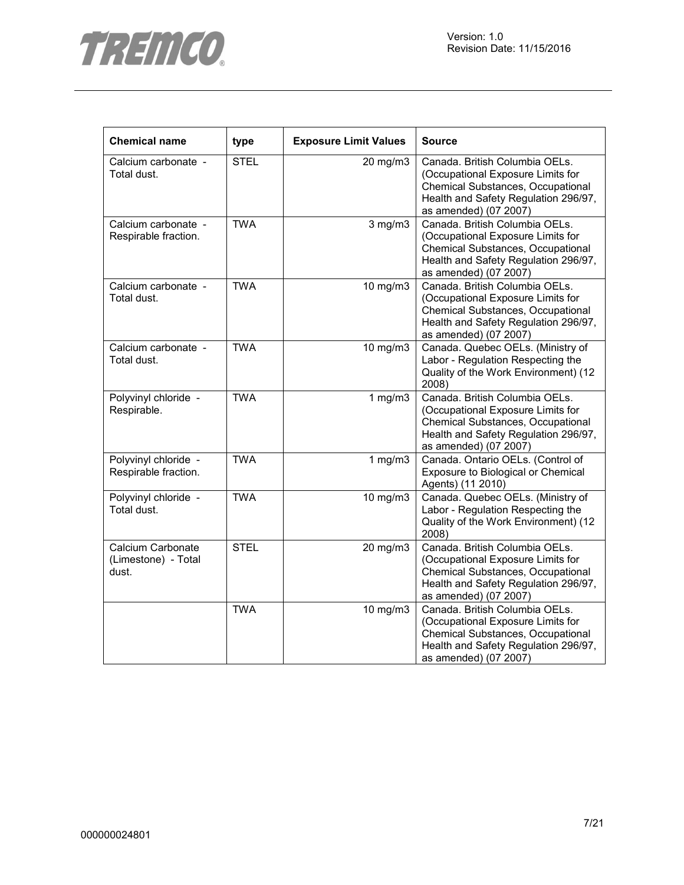



| <b>Chemical name</b>                              | type        | <b>Exposure Limit Values</b> | <b>Source</b>                                                                                                                                                             |
|---------------------------------------------------|-------------|------------------------------|---------------------------------------------------------------------------------------------------------------------------------------------------------------------------|
| Calcium carbonate -<br>Total dust.                | <b>STEL</b> | 20 mg/m3                     | Canada. British Columbia OELs.<br>(Occupational Exposure Limits for<br>Chemical Substances, Occupational<br>Health and Safety Regulation 296/97,<br>as amended) (07 2007) |
| Calcium carbonate -<br>Respirable fraction.       | <b>TWA</b>  | $3$ mg/m $3$                 | Canada. British Columbia OELs.<br>(Occupational Exposure Limits for<br>Chemical Substances, Occupational<br>Health and Safety Regulation 296/97,<br>as amended) (07 2007) |
| Calcium carbonate -<br>Total dust.                | <b>TWA</b>  | 10 mg/m3                     | Canada. British Columbia OELs.<br>(Occupational Exposure Limits for<br>Chemical Substances, Occupational<br>Health and Safety Regulation 296/97,<br>as amended) (07 2007) |
| Calcium carbonate -<br>Total dust.                | <b>TWA</b>  | 10 mg/m3                     | Canada. Quebec OELs. (Ministry of<br>Labor - Regulation Respecting the<br>Quality of the Work Environment) (12<br>2008)                                                   |
| Polyvinyl chloride -<br>Respirable.               | <b>TWA</b>  | 1 $mg/m3$                    | Canada. British Columbia OELs.<br>(Occupational Exposure Limits for<br>Chemical Substances, Occupational<br>Health and Safety Regulation 296/97,<br>as amended) (07 2007) |
| Polyvinyl chloride -<br>Respirable fraction.      | <b>TWA</b>  | 1 $mg/m3$                    | Canada. Ontario OELs. (Control of<br>Exposure to Biological or Chemical<br>Agents) (11 2010)                                                                              |
| Polyvinyl chloride -<br>Total dust.               | <b>TWA</b>  | 10 mg/m3                     | Canada. Quebec OELs. (Ministry of<br>Labor - Regulation Respecting the<br>Quality of the Work Environment) (12<br>2008)                                                   |
| Calcium Carbonate<br>(Limestone) - Total<br>dust. | <b>STEL</b> | 20 mg/m3                     | Canada. British Columbia OELs.<br>(Occupational Exposure Limits for<br>Chemical Substances, Occupational<br>Health and Safety Regulation 296/97,<br>as amended) (07 2007) |
|                                                   | <b>TWA</b>  | 10 mg/m3                     | Canada. British Columbia OELs.<br>(Occupational Exposure Limits for<br>Chemical Substances, Occupational<br>Health and Safety Regulation 296/97,<br>as amended) (07 2007) |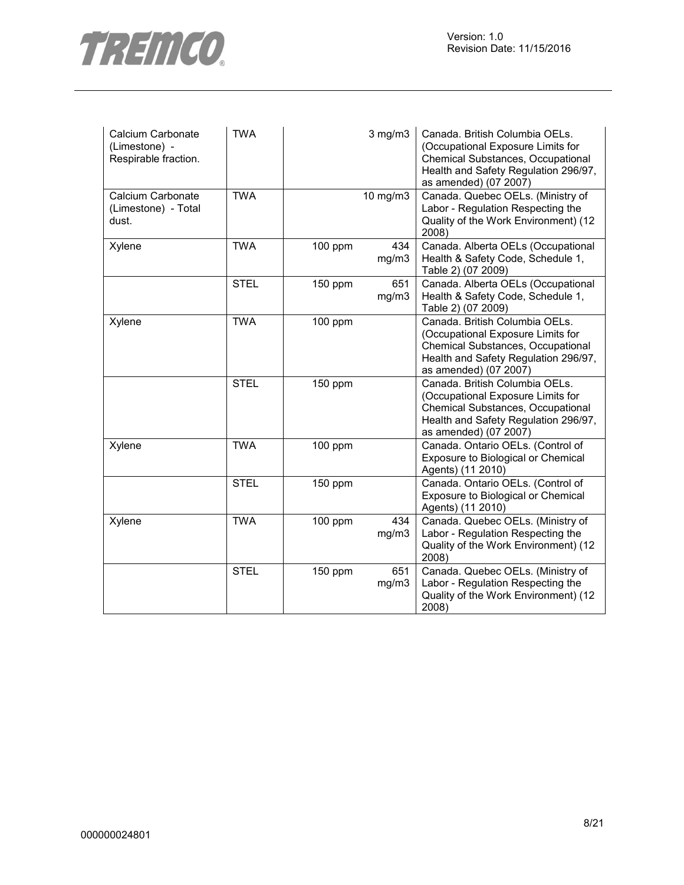

| Calcium Carbonate<br>(Limestone) -<br>Respirable fraction. | <b>TWA</b>  |         | $3$ mg/m $3$ | Canada. British Columbia OELs.<br>(Occupational Exposure Limits for<br>Chemical Substances, Occupational<br>Health and Safety Regulation 296/97,<br>as amended) (07 2007) |
|------------------------------------------------------------|-------------|---------|--------------|---------------------------------------------------------------------------------------------------------------------------------------------------------------------------|
| Calcium Carbonate<br>(Limestone) - Total<br>dust.          | <b>TWA</b>  |         | 10 mg/m3     | Canada. Quebec OELs. (Ministry of<br>Labor - Regulation Respecting the<br>Quality of the Work Environment) (12<br>2008)                                                   |
| Xylene                                                     | <b>TWA</b>  | 100 ppm | 434<br>mg/m3 | Canada. Alberta OELs (Occupational<br>Health & Safety Code, Schedule 1,<br>Table 2) (07 2009)                                                                             |
|                                                            | <b>STEL</b> | 150 ppm | 651<br>mg/m3 | Canada. Alberta OELs (Occupational<br>Health & Safety Code, Schedule 1,<br>Table 2) (07 2009)                                                                             |
| Xylene                                                     | <b>TWA</b>  | 100 ppm |              | Canada. British Columbia OELs.<br>(Occupational Exposure Limits for<br>Chemical Substances, Occupational<br>Health and Safety Regulation 296/97,<br>as amended) (07 2007) |
|                                                            | <b>STEL</b> | 150 ppm |              | Canada. British Columbia OELs.<br>(Occupational Exposure Limits for<br>Chemical Substances, Occupational<br>Health and Safety Regulation 296/97,<br>as amended) (07 2007) |
| Xylene                                                     | <b>TWA</b>  | 100 ppm |              | Canada. Ontario OELs. (Control of<br>Exposure to Biological or Chemical<br>Agents) (11 2010)                                                                              |
|                                                            | <b>STEL</b> | 150 ppm |              | Canada. Ontario OELs. (Control of<br>Exposure to Biological or Chemical<br>Agents) (11 2010)                                                                              |
| Xylene                                                     | <b>TWA</b>  | 100 ppm | 434<br>mg/m3 | Canada. Quebec OELs. (Ministry of<br>Labor - Regulation Respecting the<br>Quality of the Work Environment) (12<br>2008)                                                   |
|                                                            | <b>STEL</b> | 150 ppm | 651<br>mg/m3 | Canada. Quebec OELs. (Ministry of<br>Labor - Regulation Respecting the<br>Quality of the Work Environment) (12<br>2008)                                                   |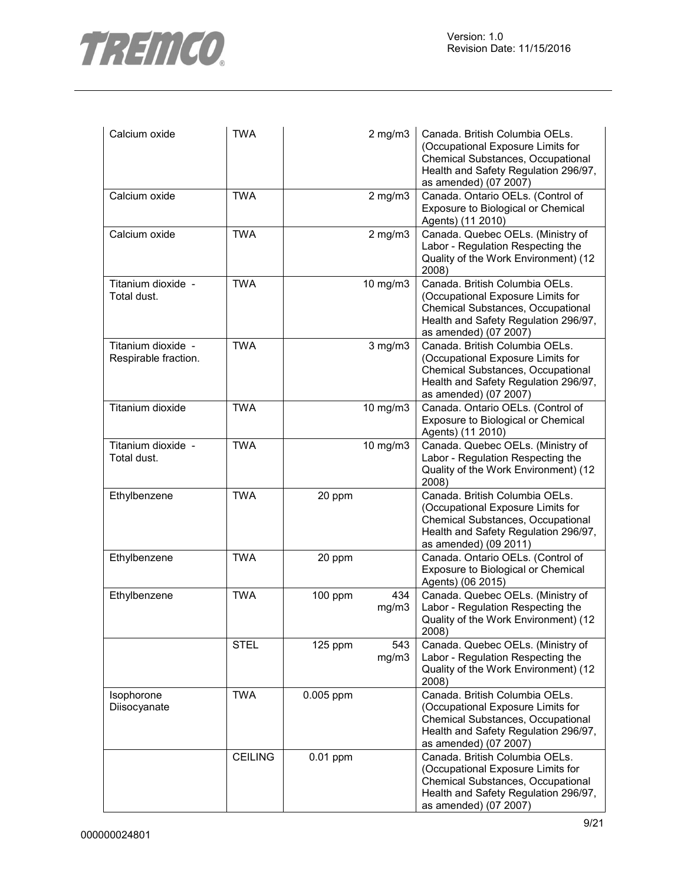

| Calcium oxide                              | <b>TWA</b>     |            | $2$ mg/m $3$ | Canada. British Columbia OELs.<br>(Occupational Exposure Limits for<br>Chemical Substances, Occupational<br>Health and Safety Regulation 296/97,<br>as amended) (07 2007) |
|--------------------------------------------|----------------|------------|--------------|---------------------------------------------------------------------------------------------------------------------------------------------------------------------------|
| Calcium oxide                              | <b>TWA</b>     |            | $2$ mg/m $3$ | Canada. Ontario OELs. (Control of<br>Exposure to Biological or Chemical<br>Agents) (11 2010)                                                                              |
| Calcium oxide                              | <b>TWA</b>     |            | $2$ mg/m $3$ | Canada. Quebec OELs. (Ministry of<br>Labor - Regulation Respecting the<br>Quality of the Work Environment) (12<br>2008)                                                   |
| Titanium dioxide -<br>Total dust.          | <b>TWA</b>     |            | 10 mg/m3     | Canada. British Columbia OELs.<br>(Occupational Exposure Limits for<br>Chemical Substances, Occupational<br>Health and Safety Regulation 296/97,<br>as amended) (07 2007) |
| Titanium dioxide -<br>Respirable fraction. | <b>TWA</b>     |            | $3$ mg/m $3$ | Canada. British Columbia OELs.<br>(Occupational Exposure Limits for<br>Chemical Substances, Occupational<br>Health and Safety Regulation 296/97,<br>as amended) (07 2007) |
| Titanium dioxide                           | <b>TWA</b>     |            | 10 mg/m3     | Canada. Ontario OELs. (Control of<br>Exposure to Biological or Chemical<br>Agents) (11 2010)                                                                              |
| Titanium dioxide -<br>Total dust.          | <b>TWA</b>     |            | 10 mg/m3     | Canada. Quebec OELs. (Ministry of<br>Labor - Regulation Respecting the<br>Quality of the Work Environment) (12<br>2008)                                                   |
| Ethylbenzene                               | <b>TWA</b>     | 20 ppm     |              | Canada. British Columbia OELs.<br>(Occupational Exposure Limits for<br>Chemical Substances, Occupational<br>Health and Safety Regulation 296/97,<br>as amended) (09 2011) |
| Ethylbenzene                               | <b>TWA</b>     | 20 ppm     |              | Canada. Ontario OELs. (Control of<br>Exposure to Biological or Chemical<br>Agents) (06 2015)                                                                              |
| Ethylbenzene                               | <b>TWA</b>     | 100 ppm    | 434<br>mg/m3 | Canada. Quebec OELs. (Ministry of<br>Labor - Regulation Respecting the<br>Quality of the Work Environment) (12<br>2008)                                                   |
|                                            | <b>STEL</b>    | $125$ ppm  | 543<br>mg/m3 | Canada. Quebec OELs. (Ministry of<br>Labor - Regulation Respecting the<br>Quality of the Work Environment) (12<br>2008)                                                   |
| Isophorone<br>Diisocyanate                 | <b>TWA</b>     | 0.005 ppm  |              | Canada. British Columbia OELs.<br>(Occupational Exposure Limits for<br>Chemical Substances, Occupational<br>Health and Safety Regulation 296/97,<br>as amended) (07 2007) |
|                                            | <b>CEILING</b> | $0.01$ ppm |              | Canada. British Columbia OELs.<br>(Occupational Exposure Limits for<br>Chemical Substances, Occupational<br>Health and Safety Regulation 296/97,<br>as amended) (07 2007) |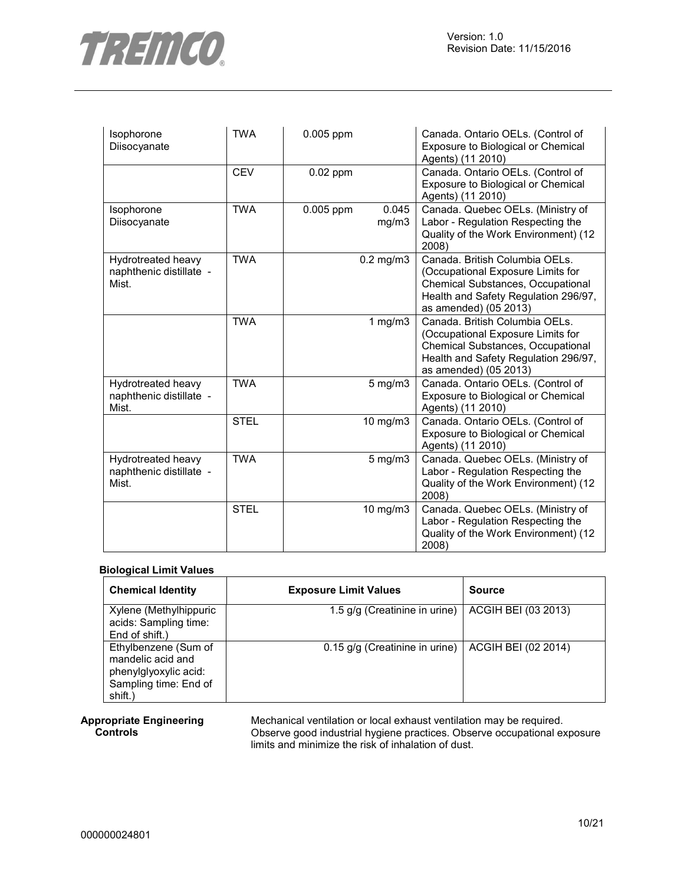

| Isophorone<br>Diisocyanate                             | <b>TWA</b>  | 0.005 ppm  |                | Canada. Ontario OELs. (Control of<br>Exposure to Biological or Chemical<br>Agents) (11 2010)                                                                                     |
|--------------------------------------------------------|-------------|------------|----------------|----------------------------------------------------------------------------------------------------------------------------------------------------------------------------------|
|                                                        | <b>CEV</b>  | $0.02$ ppm |                | Canada. Ontario OELs. (Control of<br>Exposure to Biological or Chemical<br>Agents) (11 2010)                                                                                     |
| Isophorone<br>Diisocyanate                             | <b>TWA</b>  | 0.005 ppm  | 0.045<br>mg/m3 | Canada. Quebec OELs. (Ministry of<br>Labor - Regulation Respecting the<br>Quality of the Work Environment) (12<br>2008)                                                          |
| Hydrotreated heavy<br>naphthenic distillate -<br>Mist. | <b>TWA</b>  |            | $0.2$ mg/m $3$ | Canada. British Columbia OELs.<br>(Occupational Exposure Limits for<br><b>Chemical Substances, Occupational</b><br>Health and Safety Regulation 296/97,<br>as amended) (05 2013) |
|                                                        | <b>TWA</b>  |            | 1 $mg/m3$      | Canada. British Columbia OELs.<br>(Occupational Exposure Limits for<br>Chemical Substances, Occupational<br>Health and Safety Regulation 296/97,<br>as amended) (05 2013)        |
| Hydrotreated heavy<br>naphthenic distillate -<br>Mist. | <b>TWA</b>  |            | $5$ mg/m $3$   | Canada. Ontario OELs. (Control of<br>Exposure to Biological or Chemical<br>Agents) (11 2010)                                                                                     |
|                                                        | <b>STEL</b> |            | 10 mg/m3       | Canada. Ontario OELs. (Control of<br>Exposure to Biological or Chemical<br>Agents) (11 2010)                                                                                     |
| Hydrotreated heavy<br>naphthenic distillate -<br>Mist. | <b>TWA</b>  |            | $5$ mg/m $3$   | Canada. Quebec OELs. (Ministry of<br>Labor - Regulation Respecting the<br>Quality of the Work Environment) (12<br>2008)                                                          |
|                                                        | <b>STEL</b> |            | 10 mg/m3       | Canada. Quebec OELs. (Ministry of<br>Labor - Regulation Respecting the<br>Quality of the Work Environment) (12<br>2008)                                                          |

#### **Biological Limit Values**

| <b>Chemical Identity</b>                                                                               | <b>Exposure Limit Values</b>   | <b>Source</b>       |
|--------------------------------------------------------------------------------------------------------|--------------------------------|---------------------|
| Xylene (Methylhippuric<br>acids: Sampling time:<br>End of shift.)                                      | 1.5 g/g (Creatinine in urine)  | ACGIH BEI (03 2013) |
| Ethylbenzene (Sum of<br>mandelic acid and<br>phenylglyoxylic acid:<br>Sampling time: End of<br>shift.) | 0.15 g/g (Creatinine in urine) | ACGIH BEI (02 2014) |

#### **Appropriate Engineering Controls**

Mechanical ventilation or local exhaust ventilation may be required. Observe good industrial hygiene practices. Observe occupational exposure limits and minimize the risk of inhalation of dust.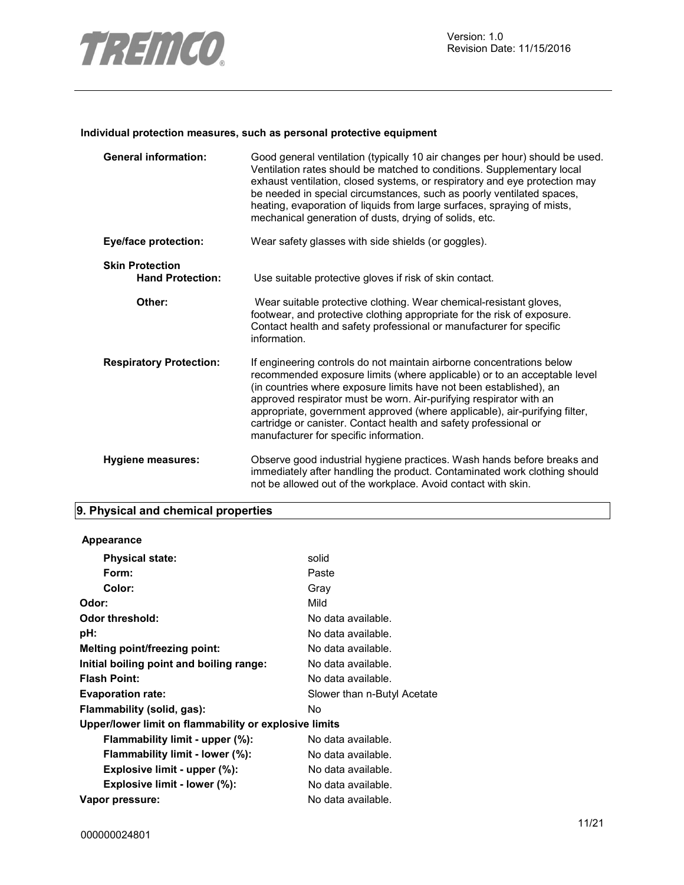

#### **Individual protection measures, such as personal protective equipment**

| <b>General information:</b>                       | Good general ventilation (typically 10 air changes per hour) should be used.<br>Ventilation rates should be matched to conditions. Supplementary local<br>exhaust ventilation, closed systems, or respiratory and eye protection may<br>be needed in special circumstances, such as poorly ventilated spaces,<br>heating, evaporation of liquids from large surfaces, spraying of mists,<br>mechanical generation of dusts, drying of solids, etc.                                        |
|---------------------------------------------------|-------------------------------------------------------------------------------------------------------------------------------------------------------------------------------------------------------------------------------------------------------------------------------------------------------------------------------------------------------------------------------------------------------------------------------------------------------------------------------------------|
| <b>Eye/face protection:</b>                       | Wear safety glasses with side shields (or goggles).                                                                                                                                                                                                                                                                                                                                                                                                                                       |
| <b>Skin Protection</b><br><b>Hand Protection:</b> | Use suitable protective gloves if risk of skin contact.                                                                                                                                                                                                                                                                                                                                                                                                                                   |
| Other:                                            | Wear suitable protective clothing. Wear chemical-resistant gloves,<br>footwear, and protective clothing appropriate for the risk of exposure.<br>Contact health and safety professional or manufacturer for specific<br>information.                                                                                                                                                                                                                                                      |
| <b>Respiratory Protection:</b>                    | If engineering controls do not maintain airborne concentrations below<br>recommended exposure limits (where applicable) or to an acceptable level<br>(in countries where exposure limits have not been established), an<br>approved respirator must be worn. Air-purifying respirator with an<br>appropriate, government approved (where applicable), air-purifying filter,<br>cartridge or canister. Contact health and safety professional or<br>manufacturer for specific information. |
| Hygiene measures:                                 | Observe good industrial hygiene practices. Wash hands before breaks and<br>immediately after handling the product. Contaminated work clothing should<br>not be allowed out of the workplace. Avoid contact with skin.                                                                                                                                                                                                                                                                     |

# **9. Physical and chemical properties**

| Appearance                                            |                             |
|-------------------------------------------------------|-----------------------------|
| <b>Physical state:</b>                                | solid                       |
| Form:                                                 | Paste                       |
| Color:                                                | Gray                        |
| Odor:                                                 | Mild                        |
| Odor threshold:                                       | No data available.          |
| pH:                                                   | No data available.          |
| Melting point/freezing point:                         | No data available.          |
| Initial boiling point and boiling range:              | No data available.          |
| <b>Flash Point:</b>                                   | No data available.          |
| <b>Evaporation rate:</b>                              | Slower than n-Butyl Acetate |
| Flammability (solid, gas):                            | No.                         |
| Upper/lower limit on flammability or explosive limits |                             |
| Flammability limit - upper (%):                       | No data available.          |
| Flammability limit - lower (%):                       | No data available.          |
| Explosive limit - upper (%):                          | No data available.          |
| Explosive limit - lower (%):                          | No data available.          |
| Vapor pressure:                                       | No data available.          |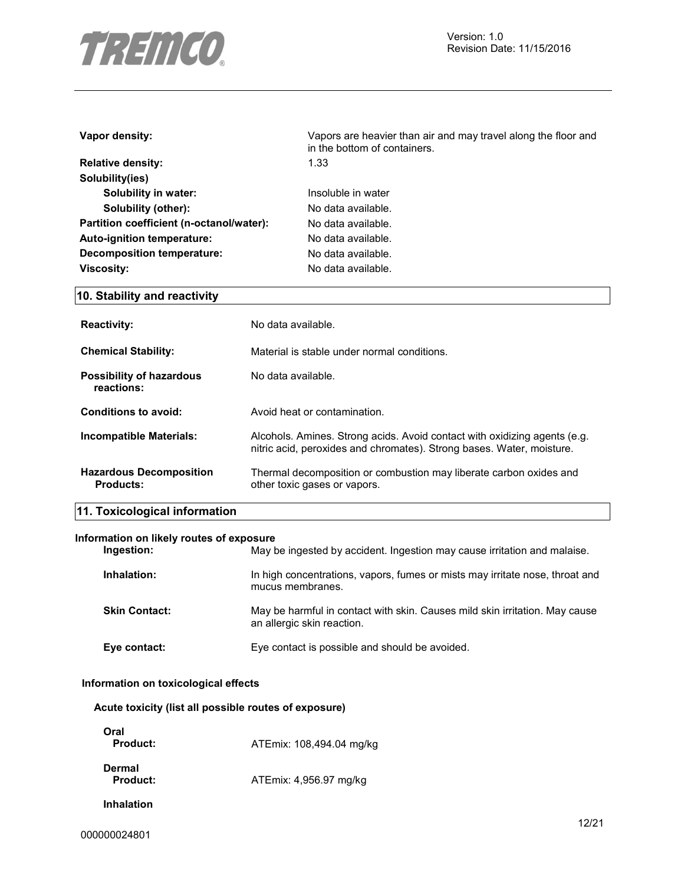

| Vapor density:                           | Vapors are heavier than air and may travel along the floor and<br>in the bottom of containers. |  |  |
|------------------------------------------|------------------------------------------------------------------------------------------------|--|--|
| <b>Relative density:</b>                 | 1.33                                                                                           |  |  |
| Solubility(ies)                          |                                                                                                |  |  |
| Solubility in water:                     | Insoluble in water                                                                             |  |  |
| Solubility (other):                      | No data available.                                                                             |  |  |
| Partition coefficient (n-octanol/water): | No data available.                                                                             |  |  |
| Auto-ignition temperature:               | No data available.                                                                             |  |  |
| Decomposition temperature:               | No data available.                                                                             |  |  |
| <b>Viscosity:</b>                        | No data available.                                                                             |  |  |
| 10. Stability and reactivity             |                                                                                                |  |  |
| <b>Reactivity:</b>                       | No data available.                                                                             |  |  |

| <b>Chemical Stability:</b>                         | Material is stable under normal conditions.                                                                                                        |
|----------------------------------------------------|----------------------------------------------------------------------------------------------------------------------------------------------------|
| <b>Possibility of hazardous</b><br>reactions:      | No data available.                                                                                                                                 |
| Conditions to avoid:                               | Avoid heat or contamination.                                                                                                                       |
| Incompatible Materials:                            | Alcohols. Amines. Strong acids. Avoid contact with oxidizing agents (e.g.<br>nitric acid, peroxides and chromates). Strong bases. Water, moisture. |
| <b>Hazardous Decomposition</b><br><b>Products:</b> | Thermal decomposition or combustion may liberate carbon oxides and<br>other toxic gases or vapors.                                                 |

# **11. Toxicological information**

#### **Information on likely routes of exposure**

| Ingestion:           | May be ingested by accident. Ingestion may cause irritation and malaise.                                  |
|----------------------|-----------------------------------------------------------------------------------------------------------|
| Inhalation:          | In high concentrations, vapors, fumes or mists may irritate nose, throat and<br>mucus membranes.          |
| <b>Skin Contact:</b> | May be harmful in contact with skin. Causes mild skin irritation. May cause<br>an allergic skin reaction. |
| Eye contact:         | Eye contact is possible and should be avoided.                                                            |

#### **Information on toxicological effects**

|  |  |  |  | Acute toxicity (list all possible routes of exposure) |  |
|--|--|--|--|-------------------------------------------------------|--|
|--|--|--|--|-------------------------------------------------------|--|

| Oral<br>Product:   | ATEmix: 108,494.04 mg/kg |
|--------------------|--------------------------|
| Dermal<br>Product: | ATEmix: 4,956.97 mg/kg   |
| Inhalation         |                          |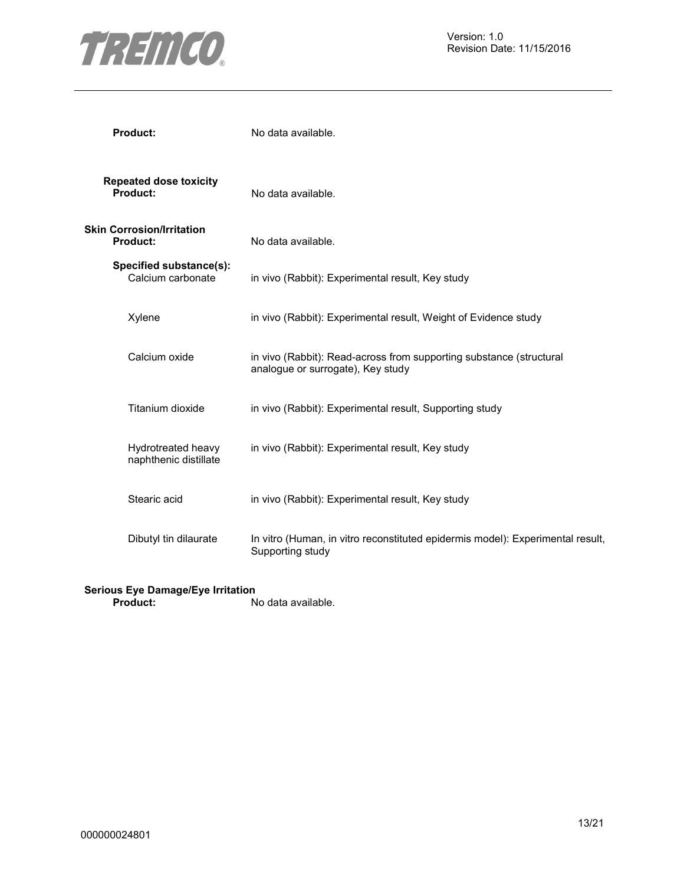

| <b>Product:</b>                              | No data available.                                                                                       |
|----------------------------------------------|----------------------------------------------------------------------------------------------------------|
| <b>Repeated dose toxicity</b><br>Product:    | No data available.                                                                                       |
| <b>Skin Corrosion/Irritation</b><br>Product: | No data available.                                                                                       |
| Specified substance(s):<br>Calcium carbonate | in vivo (Rabbit): Experimental result, Key study                                                         |
| Xylene                                       | in vivo (Rabbit): Experimental result, Weight of Evidence study                                          |
| Calcium oxide                                | in vivo (Rabbit): Read-across from supporting substance (structural<br>analogue or surrogate), Key study |
| Titanium dioxide                             | in vivo (Rabbit): Experimental result, Supporting study                                                  |
| Hydrotreated heavy<br>naphthenic distillate  | in vivo (Rabbit): Experimental result, Key study                                                         |
| Stearic acid                                 | in vivo (Rabbit): Experimental result, Key study                                                         |
| Dibutyl tin dilaurate                        | In vitro (Human, in vitro reconstituted epidermis model): Experimental result,<br>Supporting study       |

#### **Serious Eye Damage/Eye Irritation**

**Product:** No data available.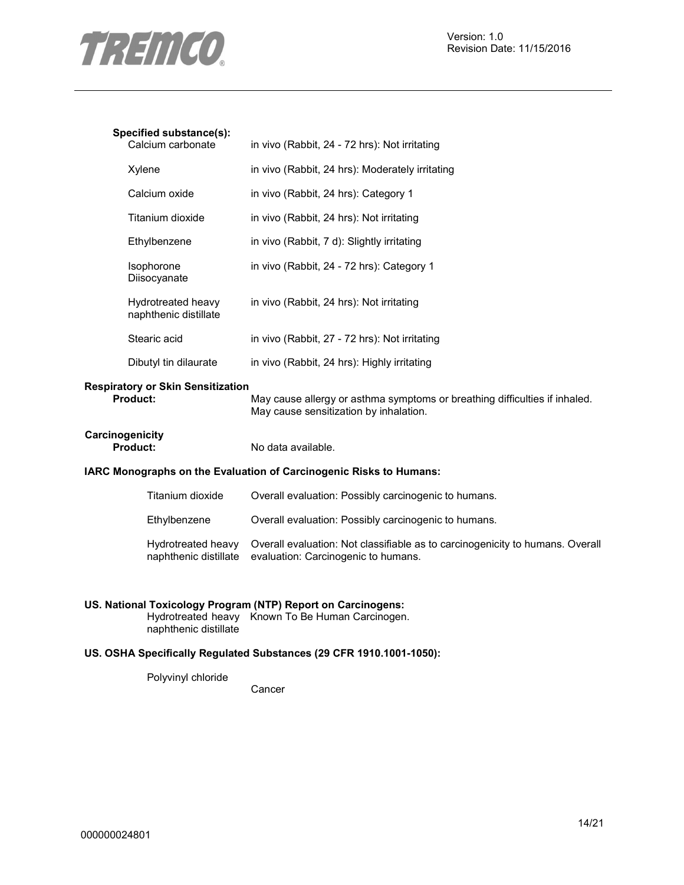

#### **Specified substance(s):**

| Jecilied SubStance(S).<br>Calcium carbonate | in vivo (Rabbit, 24 - 72 hrs): Not irritating   |
|---------------------------------------------|-------------------------------------------------|
| Xylene                                      | in vivo (Rabbit, 24 hrs): Moderately irritating |
| Calcium oxide                               | in vivo (Rabbit, 24 hrs): Category 1            |
| Titanium dioxide                            | in vivo (Rabbit, 24 hrs): Not irritating        |
| Ethylbenzene                                | in vivo (Rabbit, 7 d): Slightly irritating      |
| Isophorone<br>Diisocyanate                  | in vivo (Rabbit, 24 - 72 hrs): Category 1       |
| Hydrotreated heavy<br>naphthenic distillate | in vivo (Rabbit, 24 hrs): Not irritating        |
| Stearic acid                                | in vivo (Rabbit, 27 - 72 hrs): Not irritating   |
| Dibutyl tin dilaurate                       | in vivo (Rabbit, 24 hrs): Highly irritating     |

# **Respiratory or Skin Sensitization**

May cause allergy or asthma symptoms or breathing difficulties if inhaled. May cause sensitization by inhalation.

# **Carcinogenicity**

No data available.

#### **IARC Monographs on the Evaluation of Carcinogenic Risks to Humans:**

| Titanium dioxide                            | Overall evaluation: Possibly carcinogenic to humans.                                                                 |
|---------------------------------------------|----------------------------------------------------------------------------------------------------------------------|
| Ethylbenzene                                | Overall evaluation: Possibly carcinogenic to humans.                                                                 |
| Hydrotreated heavy<br>naphthenic distillate | Overall evaluation: Not classifiable as to carcinogenicity to humans. Overall<br>evaluation: Carcinogenic to humans. |

### **US. National Toxicology Program (NTP) Report on Carcinogens:**

Hydrotreated heavy Known To Be Human Carcinogen. naphthenic distillate

### **US. OSHA Specifically Regulated Substances (29 CFR 1910.1001-1050):**

Polyvinyl chloride

Cancer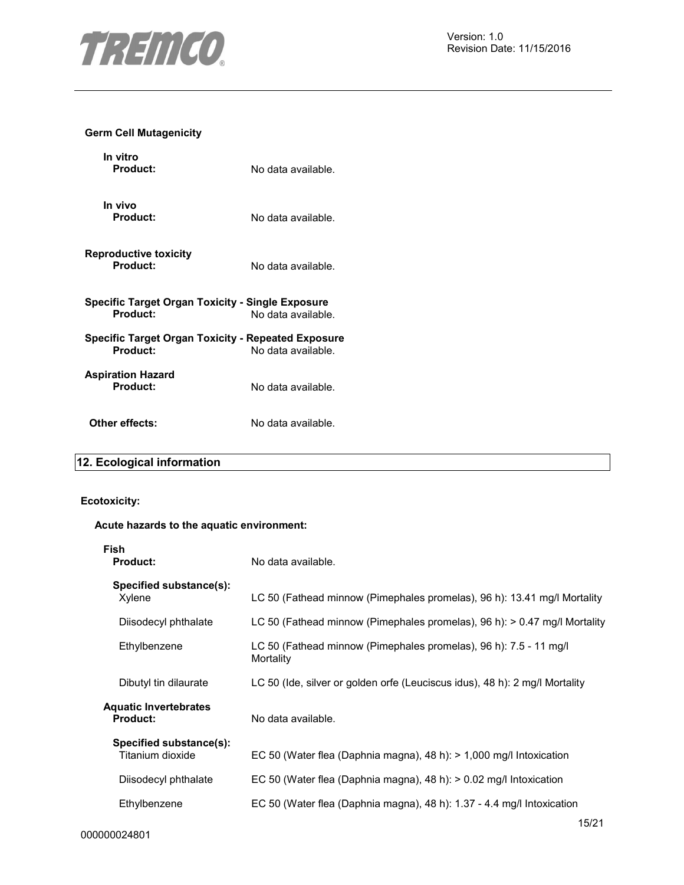

#### **Germ Cell Mutagenicity**

| In vitro<br>Product:                                                  | No data available. |
|-----------------------------------------------------------------------|--------------------|
| In vivo<br>Product:                                                   | No data available. |
| <b>Reproductive toxicity</b><br>Product:                              | No data available. |
| <b>Specific Target Organ Toxicity - Single Exposure</b><br>Product:   | No data available. |
| <b>Specific Target Organ Toxicity - Repeated Exposure</b><br>Product: | No data available. |
| <b>Aspiration Hazard</b><br>Product:                                  | No data available. |
| Other effects:                                                        | No data available. |

# **12. Ecological information**

# **Ecotoxicity:**

#### **Acute hazards to the aquatic environment:**

| Fish<br><b>Product:</b>                         | No data available.                                                             |
|-------------------------------------------------|--------------------------------------------------------------------------------|
| Specified substance(s):<br>Xylene               | LC 50 (Fathead minnow (Pimephales promelas), 96 h): 13.41 mg/l Mortality       |
| Diisodecyl phthalate                            | LC 50 (Fathead minnow (Pimephales promelas), 96 h): > 0.47 mg/l Mortality      |
| Ethylbenzene                                    | LC 50 (Fathead minnow (Pimephales promelas), 96 h): 7.5 - 11 mg/l<br>Mortality |
| Dibutyl tin dilaurate                           | LC 50 (Ide, silver or golden orfe (Leuciscus idus), 48 h): 2 mg/l Mortality    |
| <b>Aquatic Invertebrates</b><br><b>Product:</b> | No data available.                                                             |
| Specified substance(s):<br>Titanium dioxide     | EC 50 (Water flea (Daphnia magna), 48 h): $> 1,000$ mg/l Intoxication          |
| Diisodecyl phthalate                            | EC 50 (Water flea (Daphnia magna), 48 h): > 0.02 mg/l Intoxication             |
| Ethylbenzene                                    | EC 50 (Water flea (Daphnia magna), 48 h): 1.37 - 4.4 mg/l Intoxication         |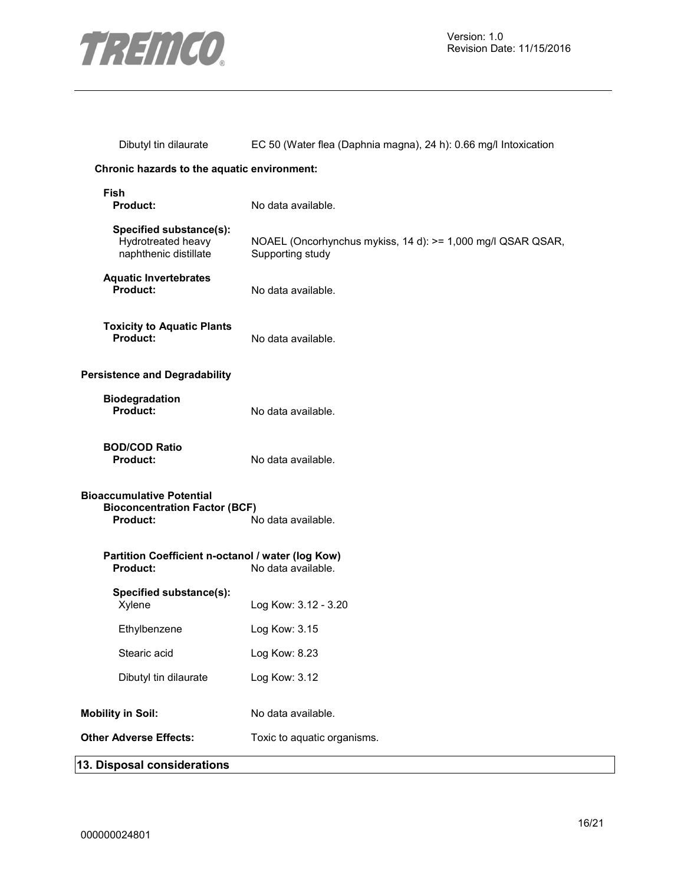

| Dibutyl tin dilaurate                                                                | EC 50 (Water flea (Daphnia magna), 24 h): 0.66 mg/l Intoxication                |
|--------------------------------------------------------------------------------------|---------------------------------------------------------------------------------|
| Chronic hazards to the aquatic environment:                                          |                                                                                 |
| <b>Fish</b><br>Product:                                                              | No data available.                                                              |
| Specified substance(s):<br>Hydrotreated heavy<br>naphthenic distillate               | NOAEL (Oncorhynchus mykiss, 14 d): >= 1,000 mg/l QSAR QSAR,<br>Supporting study |
| <b>Aquatic Invertebrates</b><br>Product:                                             | No data available.                                                              |
| <b>Toxicity to Aquatic Plants</b><br>Product:                                        | No data available.                                                              |
| <b>Persistence and Degradability</b>                                                 |                                                                                 |
| <b>Biodegradation</b><br><b>Product:</b>                                             | No data available.                                                              |
| <b>BOD/COD Ratio</b><br>Product:                                                     | No data available.                                                              |
| <b>Bioaccumulative Potential</b><br><b>Bioconcentration Factor (BCF)</b><br>Product: | No data available.                                                              |
| Partition Coefficient n-octanol / water (log Kow)<br>Product:                        | No data available.                                                              |
| Specified substance(s):<br>Xylene                                                    | Log Kow: 3.12 - 3.20                                                            |
| Ethylbenzene                                                                         | Log Kow: 3.15                                                                   |
| Stearic acid                                                                         | Log Kow: 8.23                                                                   |
| Dibutyl tin dilaurate                                                                | Log Kow: 3.12                                                                   |
| <b>Mobility in Soil:</b>                                                             | No data available.                                                              |
| <b>Other Adverse Effects:</b>                                                        | Toxic to aquatic organisms.                                                     |
| 13. Disposal considerations                                                          |                                                                                 |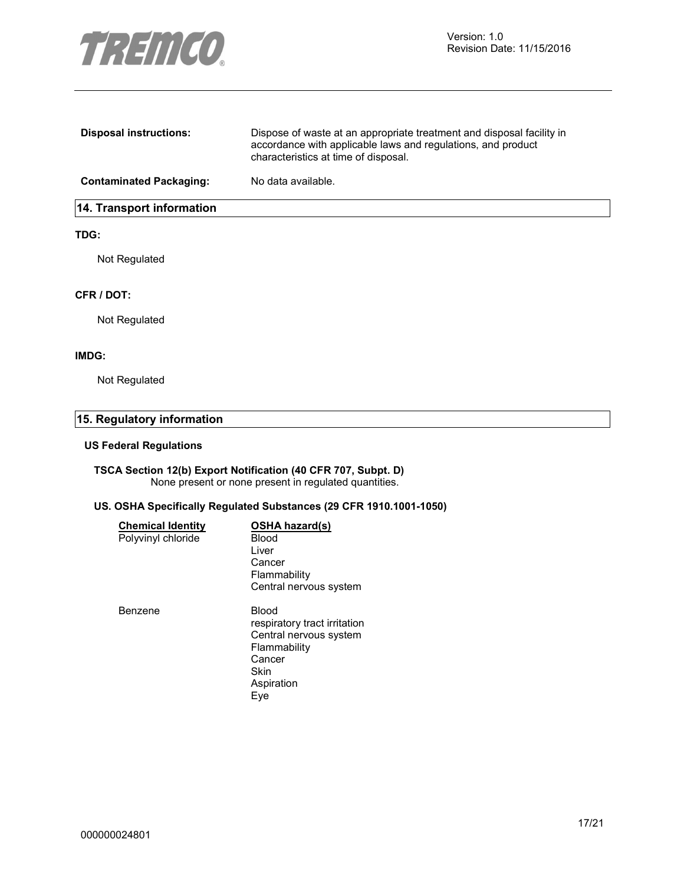

| <b>Disposal instructions:</b>    | Dispose of waste at an appropriate treatment and disposal facility in<br>accordance with applicable laws and regulations, and product<br>characteristics at time of disposal. |  |
|----------------------------------|-------------------------------------------------------------------------------------------------------------------------------------------------------------------------------|--|
| <b>Contaminated Packaging:</b>   | No data available.                                                                                                                                                            |  |
| <b>14. Transport information</b> |                                                                                                                                                                               |  |

#### **TDG:**

Not Regulated

#### **CFR / DOT:**

Not Regulated

#### **IMDG:**

Not Regulated

# **15. Regulatory information**

#### **US Federal Regulations**

#### **TSCA Section 12(b) Export Notification (40 CFR 707, Subpt. D)**  None present or none present in regulated quantities.

#### **US. OSHA Specifically Regulated Substances (29 CFR 1910.1001-1050)**

| <b>Chemical Identity</b> | <b>OSHA hazard(s)</b>        |
|--------------------------|------------------------------|
| Polyvinyl chloride       | Blood                        |
|                          | Liver                        |
|                          | Cancer                       |
|                          | Flammability                 |
|                          | Central nervous system       |
| Benzene                  | Blood                        |
|                          | respiratory tract irritation |
|                          | Central nervous system       |
|                          | Flammability                 |
|                          | Cancer                       |
|                          | Skin                         |
|                          | Aspiration                   |
|                          | Eve                          |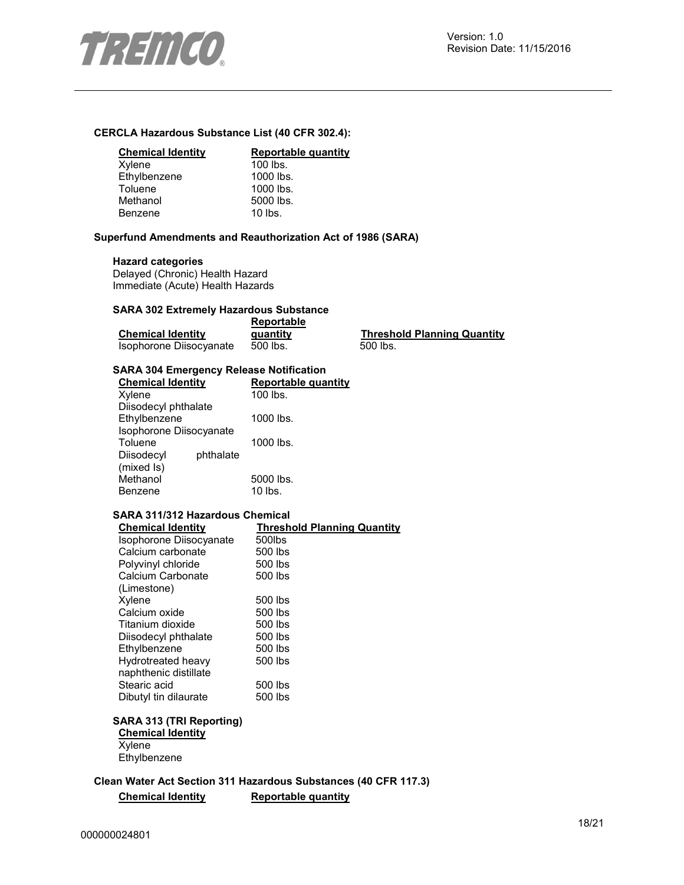

#### **CERCLA Hazardous Substance List (40 CFR 302.4):**

#### **Chemical Identity Reportable quantity**

| Xylene       | $100$ lbs. |
|--------------|------------|
| Ethylbenzene | 1000 lbs.  |
| Toluene      | 1000 lbs.  |
| Methanol     | 5000 lbs.  |
| Benzene      | $10$ lbs.  |
|              |            |

#### **Superfund Amendments and Reauthorization Act of 1986 (SARA)**

#### **Hazard categories**

Delayed (Chronic) Health Hazard Immediate (Acute) Health Hazards

#### **SARA 302 Extremely Hazardous Substance**

|                          | Reportable |
|--------------------------|------------|
| <b>Chemical Identity</b> | quantity   |
| Isophorone Diisocvanate  | 500 lbs.   |

**Threshold Planning Quantity**  $500$  lbs.

#### **SARA 304 Emergency Release Notification**

| <b>Chemical Identity</b> |           | Reportable quantity |
|--------------------------|-----------|---------------------|
| Xylene                   |           | $100$ lbs.          |
| Diisodecyl phthalate     |           |                     |
| Ethylbenzene             |           | 1000 lbs.           |
| Isophorone Diisocyanate  |           |                     |
| Toluene                  |           | 1000 lbs.           |
| Diisodecyl               | phthalate |                     |
| (mixed Is)               |           |                     |
| Methanol                 |           | 5000 lbs.           |
| Benzene                  |           | 10 lbs.             |

#### **SARA 311/312 Hazardous Chemical**

| <b>Chemical Identity</b> | <b>Threshold Planning Quantity</b> |
|--------------------------|------------------------------------|
| Isophorone Diisocyanate  | 500lbs                             |
| Calcium carbonate        | 500 lbs                            |
| Polyvinyl chloride       | 500 lbs                            |
| Calcium Carbonate        | 500 lbs                            |
| (Limestone)              |                                    |
| Xylene                   | 500 lbs                            |
| Calcium oxide            | 500 lbs                            |
| Titanium dioxide         | 500 lbs                            |
| Diisodecyl phthalate     | 500 lbs                            |
| Ethylbenzene             | 500 lbs                            |
| Hydrotreated heavy       | 500 lbs                            |
| naphthenic distillate    |                                    |
| Stearic acid             | 500 lbs                            |
| Dibutyl tin dilaurate    | 500 lbs                            |

### **SARA 313 (TRI Reporting)**

**Chemical Identity Xylene Ethylbenzene** 

**Clean Water Act Section 311 Hazardous Substances (40 CFR 117.3) Chemical Identity Reportable quantity**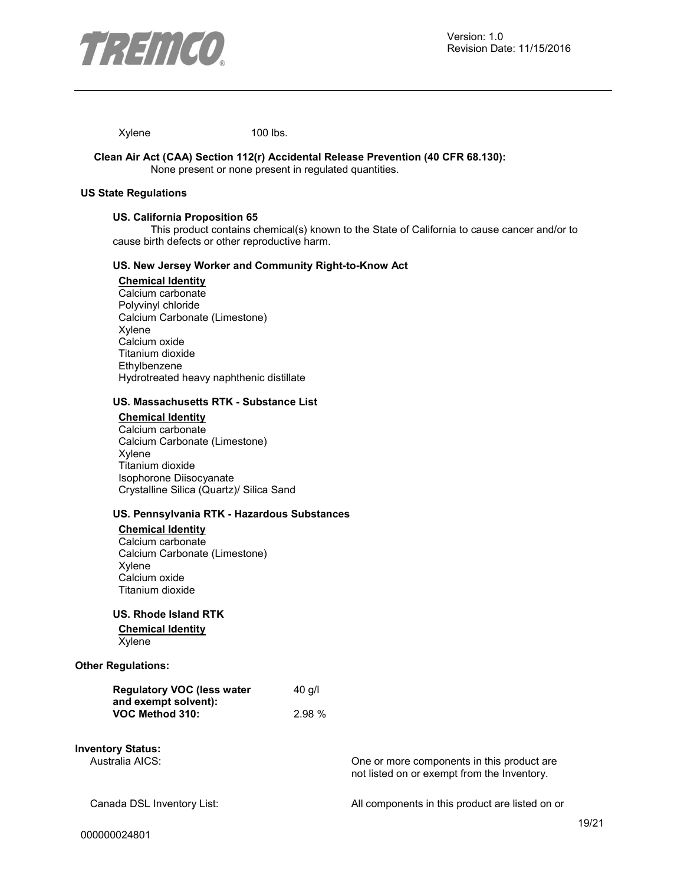

Xylene 100 lbs.

#### **Clean Air Act (CAA) Section 112(r) Accidental Release Prevention (40 CFR 68.130):**  None present or none present in regulated quantities.

#### **US State Regulations**

#### **US. California Proposition 65**

This product contains chemical(s) known to the State of California to cause cancer and/or to cause birth defects or other reproductive harm.

#### **US. New Jersey Worker and Community Right-to-Know Act**

#### **Chemical Identity**

Calcium carbonate Polyvinyl chloride Calcium Carbonate (Limestone) Xylene Calcium oxide Titanium dioxide **Ethylbenzene** Hydrotreated heavy naphthenic distillate

#### **US. Massachusetts RTK - Substance List**

#### **Chemical Identity** Calcium carbonate Calcium Carbonate (Limestone) Xylene Titanium dioxide Isophorone Diisocyanate Crystalline Silica (Quartz)/ Silica Sand

#### **US. Pennsylvania RTK - Hazardous Substances**

#### **Chemical Identity**

Calcium carbonate Calcium Carbonate (Limestone) Xylene Calcium oxide Titanium dioxide

#### **US. Rhode Island RTK**

#### **Chemical Identity** Xylene

#### **Other Regulations:**

| <b>Regulatory VOC (less water</b> | $40$ q/l |
|-----------------------------------|----------|
| and exempt solvent):              |          |
| VOC Method 310:                   | 2.98%    |

# **Inventory Status:**

One or more components in this product are not listed on or exempt from the Inventory.

Canada DSL Inventory List: All components in this product are listed on or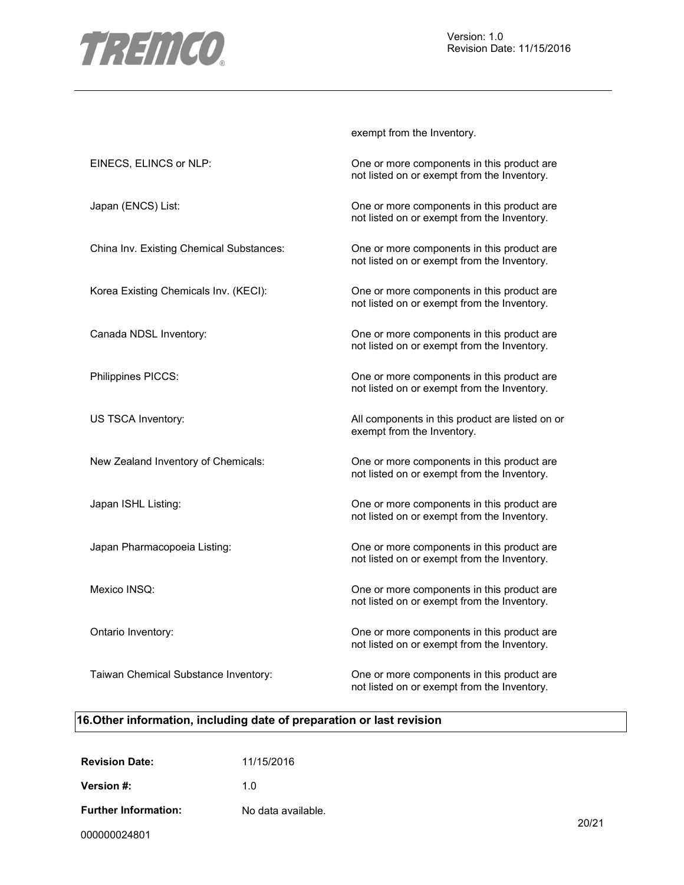

exempt from the Inventory.

| EINECS, ELINCS or NLP:                   | One or more components in this product are<br>not listed on or exempt from the Inventory. |
|------------------------------------------|-------------------------------------------------------------------------------------------|
| Japan (ENCS) List:                       | One or more components in this product are<br>not listed on or exempt from the Inventory. |
| China Inv. Existing Chemical Substances: | One or more components in this product are<br>not listed on or exempt from the Inventory. |
| Korea Existing Chemicals Inv. (KECI):    | One or more components in this product are<br>not listed on or exempt from the Inventory. |
| Canada NDSL Inventory:                   | One or more components in this product are<br>not listed on or exempt from the Inventory. |
| Philippines PICCS:                       | One or more components in this product are<br>not listed on or exempt from the Inventory. |
| US TSCA Inventory:                       | All components in this product are listed on or<br>exempt from the Inventory.             |
| New Zealand Inventory of Chemicals:      | One or more components in this product are<br>not listed on or exempt from the Inventory. |
| Japan ISHL Listing:                      | One or more components in this product are<br>not listed on or exempt from the Inventory. |
| Japan Pharmacopoeia Listing:             | One or more components in this product are<br>not listed on or exempt from the Inventory. |
| Mexico INSQ:                             | One or more components in this product are<br>not listed on or exempt from the Inventory. |
| Ontario Inventory:                       | One or more components in this product are<br>not listed on or exempt from the Inventory. |
| Taiwan Chemical Substance Inventory:     | One or more components in this product are<br>not listed on or exempt from the Inventory. |

# **16.Other information, including date of preparation or last revision**

| <b>Revision Date:</b>       | 11/15/2016         |
|-----------------------------|--------------------|
| Version #:                  | 1 በ                |
| <b>Further Information:</b> | No data available. |